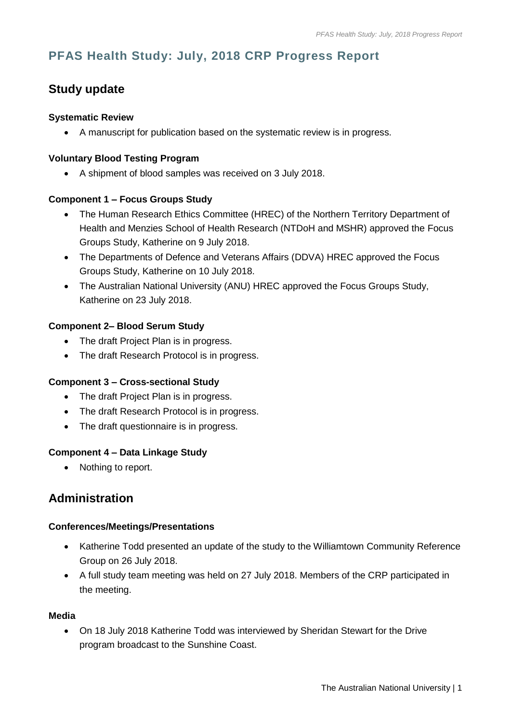# **PFAS Health Study: July, 2018 CRP Progress Report**

## **Study update**

#### **Systematic Review**

A manuscript for publication based on the systematic review is in progress.

#### **Voluntary Blood Testing Program**

A shipment of blood samples was received on 3 July 2018.

#### **Component 1 – Focus Groups Study**

- The Human Research Ethics Committee (HREC) of the Northern Territory Department of Health and Menzies School of Health Research (NTDoH and MSHR) approved the Focus Groups Study, Katherine on 9 July 2018.
- The Departments of Defence and Veterans Affairs (DDVA) HREC approved the Focus Groups Study, Katherine on 10 July 2018.
- The Australian National University (ANU) HREC approved the Focus Groups Study, Katherine on 23 July 2018.

#### **Component 2– Blood Serum Study**

- The draft Project Plan is in progress.
- The draft Research Protocol is in progress.

#### **Component 3 – Cross-sectional Study**

- The draft Project Plan is in progress.
- The draft Research Protocol is in progress.
- The draft questionnaire is in progress.

#### **Component 4 – Data Linkage Study**

• Nothing to report.

### **Administration**

#### **Conferences/Meetings/Presentations**

- Katherine Todd presented an update of the study to the Williamtown Community Reference Group on 26 July 2018.
- A full study team meeting was held on 27 July 2018. Members of the CRP participated in the meeting.

#### **Media**

 On 18 July 2018 Katherine Todd was interviewed by Sheridan Stewart for the Drive program broadcast to the Sunshine Coast.